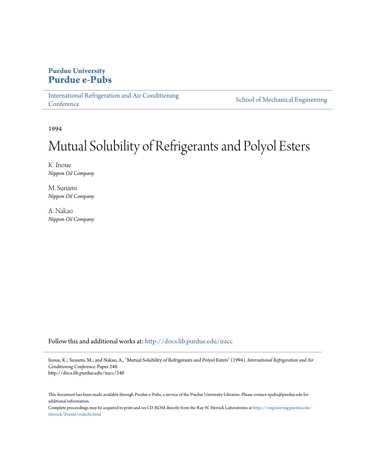# **Purdue University [Purdue e-Pubs](http://docs.lib.purdue.edu?utm_source=docs.lib.purdue.edu%2Firacc%2F240&utm_medium=PDF&utm_campaign=PDFCoverPages)**

[International Refrigeration and Air Conditioning](http://docs.lib.purdue.edu/iracc?utm_source=docs.lib.purdue.edu%2Firacc%2F240&utm_medium=PDF&utm_campaign=PDFCoverPages) **[Conference](http://docs.lib.purdue.edu/iracc?utm_source=docs.lib.purdue.edu%2Firacc%2F240&utm_medium=PDF&utm_campaign=PDFCoverPages)** 

[School of Mechanical Engineering](http://docs.lib.purdue.edu/me?utm_source=docs.lib.purdue.edu%2Firacc%2F240&utm_medium=PDF&utm_campaign=PDFCoverPages)

1994

# Mutual Solubility of Refrigerants and Polyol Esters

K. Inoue *Nippon Oil Company*

M. Sunami *Nippon Oil Company*

A. Nakao *Nippon Oil Company*

Follow this and additional works at: [http://docs.lib.purdue.edu/iracc](http://docs.lib.purdue.edu/iracc?utm_source=docs.lib.purdue.edu%2Firacc%2F240&utm_medium=PDF&utm_campaign=PDFCoverPages)

Inoue, K.; Sunami, M.; and Nakao, A., "Mutual Solubility of Refrigerants and Polyol Esters" (1994). *International Refrigeration and Air Conditioning Conference.* Paper 240. http://docs.lib.purdue.edu/iracc/240

This document has been made available through Purdue e-Pubs, a service of the Purdue University Libraries. Please contact epubs@purdue.edu for additional information.

Complete proceedings may be acquired in print and on CD-ROM directly from the Ray W. Herrick Laboratories at [https://engineering.purdue.edu/](https://engineering.purdue.edu/Herrick/Events/orderlit.html) [Herrick/Events/orderlit.html](https://engineering.purdue.edu/Herrick/Events/orderlit.html)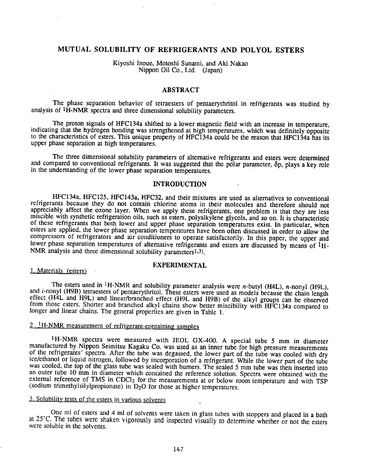## MUTUAL SOLUBILITY OF REFRIGERANTS AND POLYOL ESTERS

Kiyoshi Inoue, Motoshi Sunami, and Aki Nakao Nippon Oil Co., Ltd. (Japan)

## ABSTRACT

The phase separation behavior of tetraesters of pentaerythritol in refrigerants was studied by analysis of lH-NMR spectra and three dimensional solubility parameters.

The proton signals of HFC134a shifted to a lower magnetic field with an increase in temperature, indicating that the hydrogen bonding was strengthened at high temperatures, which was definitely opposite to the characteristics of esters. This unique propeny of HFC134a could be the reason that HFC134a has its upper phase separation at high temperatures.

The three dimensional solubility parameters of alternative refrigerants and esters were determined and compared to conventional refrigerants. It was suggested that the polar parameter, op, plays a key role in the understanding of the lower phase separation temperatures.

## INTRODUCTION

HFC134a, HFC125, HFC143a, HFC32, and their mixtures are used as alternatives to conventional<br>refrigerants because they do not contain chlorine atoms in their molecules and therefore should not<br>appreciably affect the ozone esters are applied, the lower phase separation temperatures have been often discussed in order to allow the compressors of refrigerators and air conditioners to operate satisfactorily. In this paper, the upper and lower phase separation temperatures of alternative refrigerants and esters are discussed by means of 1H-NMR analysis and three dimensional solubility parameters<sup>1,3)</sup>.

#### EXPERIMENTAL

#### I. Materials (esters)

The esters used in <sup>1</sup>H-NMR and solubility parameter analysis were *n*-butyl (H4L), *n*-nonyl (H9L), and *i*-nonyl (H9B) tetraesters of pentaerythritol. These esters were used as models because the chain length effect (H4L

## $2 \cdot 1$  H-NMR measurement of refrigerant-containing samples

<sup>1</sup>H-NMR spectra were measured with JEOL GX-400. A special tube 5 mm in diameter manufactured by Nippon Seimitsu Kagaku Co. was used as an inner tube for high pressure measurements of the refrigerants' spectra. After the tube was degassed, the lower part of the tube was cooled with dry ice/ethanol or liquid nitrogen, followed by incorporation of a refrigerant. While the lower part of the tube was cooled, the top of the glass tube was sealed with burners. The sealed *5* mm tube was then inserted into an outer tube 10 mm in diameter which contained the reference solution. Spectra were obtained with the external reference of TMS in CDCl<sub>3</sub> for the measurements at or below room temperature and with TSP (sodium trimethylsilylpropionate) in D<sub>2</sub>O for those at higher temperatures.

## 3. Solubility tests of the esters in various solvents

One ml of esters and 4 ml of solvents were taken in glass tubes with stoppers and placed in a bath at 25°C. The tubes were shaken vigorously and inspected visually to determine whether or not the esters were soluble in the solvents.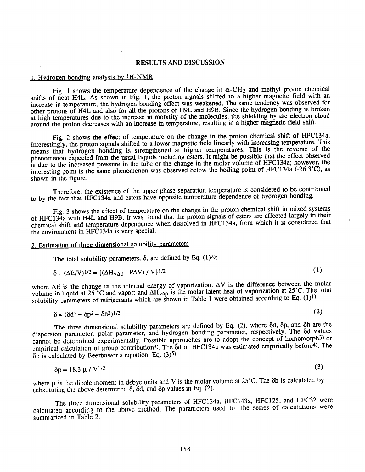## RESULTS AND DISCUSSION

## 1. Hydrogen bonding analysis by lH-NMR

Fig. 1 shows the temperature dependence of the change in  $\alpha$ -CH<sub>2</sub> and methyl proton chemical shifts of neat H4L. As shown in Fig. 1, the proton signals shifted to a higher magnetic field with an increase in temperature; the hydrogen bonding effect was weakened. The same tendency was observed for other protons of H4L and also for all the protons of H9L and H9B. Since the hydrogen bonding is broken at high temperatures due to the increase in mobility of the molecules, the shielding by the electron cloud around the proton decreases with an increase in temperature, resulting in a higher magnetic field shift.

Fig. 2 shows the effect of temperature on the change in the proton chemical shift of HFC134a. Interestingly, the proton signals shifted to a lower magnetic field linearly with increasing temperature. This means that hydrogen bonding is strengthened at higher temperatures. This is the reverse of the <sup>p</sup>henomenon expected from the usual liquids including esters. It might be possible that the effect observed is due to the increased pressure in the tube or the change in the molar volume of HFC134a; however, the interesting point is the same phenomenon was observed below the boiling point of HFC134a (-26.3"C), as shown in the figure.

Therefore, the existence of the upper phase separation temperature is considered to be contributed to by the fact that HFC134a and esters have opposite temperature dependence of hydrogen bonding.

Fig. 3 shows the effect of temperature on the change in the proton chemical shift in mixed systems of HFC134a with H4L and H9B. It was found that the proton signals of esters are affected largely in their chemical shift and temperature dependence when dissolved in HFC134a, from which it is considered that the environment in HFC134a is very special.

## 2. Estimation of three dimensional solubility parameters

The total solubility parameters,  $\delta$ , are defined by Eq.  $(1)^2$ :

$$
\delta = (\Delta E/V)^{1/2} = \left( (\Delta H_{Vap} - P\Delta V) / V \right)^{1/2}
$$
 (1)

where  $\Delta E$  is the change in the internal energy of vaporization;  $\Delta V$  is the difference between the molar volume in liquid at  $25^{\circ}$ C and vapor; and  $\Delta H_{vap}$  is the molar latent heat of vaporization at  $25^{\circ}$ C. The total solubility parameters of refrigerants which are shown in Table 1 were obtained according to Eq. (1)<sup>1)</sup>.

$$
\delta = (\delta d^2 + \delta p^2 + \delta h^2)^{1/2} \tag{2}
$$

The three dimensional solubility parameters are defined by Eq. (2), where  $\delta d$ ,  $\delta p$ , and  $\delta h$  are the dispersion parameter, polar parameter, and hydrogen bonding parameter, respectively. The 8d values cannot be determined experimentally. Possible approaches are to adopt the concept of homomorph3) or empirical calculation of group contribution<sup>3</sup>). The 8d of HFC134a was estimated empirically before<sup>4</sup>). The  $\delta p$  is calculated by Beerbower's equation, Eq. (3)<sup>5)</sup>:

$$
\delta p = 18.3 \, \mu / \, \text{V}^{1/2} \tag{3}
$$

where  $\mu$  is the dipole moment in debye units and V is the molar volume at 25°C. The 8h is calculated by substituting the above determined  $\delta$ ,  $\delta d$ , and  $\delta p$  values in Eq. (2).

The three dimensional solubility parameters of HFC134a, HFC143a, HFC125, and HFC32 were calculated according to the above method. The parameters used for the series of calculations were summarized in Table 2.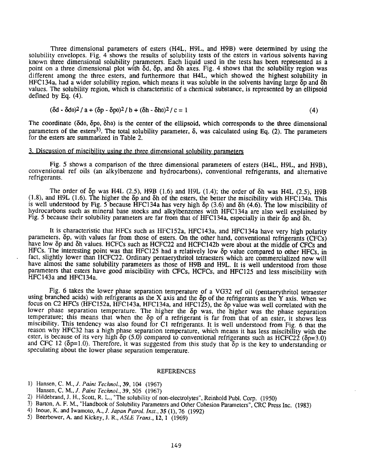Three dimensional parameters of esters (H4L, H9L, and H9B) were determined by using the solubility envelopes. Fig. 4 shows the results of solubility tests of the esters in various solvents having known three dimensional solubility parameters. Each liquid used in the tests has been represented as <sup>a</sup> point on a three dimensional plot with  $\delta d$ ,  $\delta p$ , and  $\delta h$  axes. Fig. 4 shows that the solubility region was different among the three esters, and furthermore that H4L, which showed the highest solubility in HFC 134a, had a wider solubility region, which means it was soluble in the solvents having large  $\delta p$  and  $\delta h$ values. The solubility region, which is characteristic of a chemical substance, is represented by an ellipsoid defined by Eq. (4).

$$
(\delta d - \delta d0)^2 / a + (\delta p - \delta p0)^2 / b + (\delta h - \delta h0)^2 / c = 1
$$
\n(4)

The coordinate ( $\delta$ do,  $\delta$ po,  $\delta$ ho) is the center of the ellipsoid, which corresponds to the three dimensional parameters of the esters<sup>3)</sup>. The total solubility parameter,  $\delta$ , was calculated using Eq. (2). The parameters for the esters are summarized in Table 2.

#### 3. Discussion of miscibility using the three dimensional solubility parameters

Fig. 5 shows a comparison of the three dimensional parameters of esters (H4L, H9L, and H9B), conventional ref oils (an alkylbenzene and hydrocarbons), conventional refrigerants, and alternative refrigerants.

The order of  $\delta p$  was H4L (2.5), H9B (1.6) and H9L (1.4); the order of  $\delta h$  was H4L (2.5), H9B (1.8), and H9L (1.6). The higher the  $\delta p$  and  $\delta h$  of the esters, the better the miscibility with HFC134a. This is well understood by Fig. 5 because HFC134a has very high  $\delta p$  (3.6) and  $\delta h$  (4.6). The low miscibility of hydrocarbons such as mineral base stocks and alkylbenzenes with HFC134a are also well explained by Fig. 5 because their solubility parameters are far from that of HFC134a, especially in their  $\delta p$  and  $\delta h$ .

It is characteristic that HFCs such as HFC152a, HFC143a, and HFC134a have very high polarity parameters,  $\delta p$ , with values far from those of esters. On the other hand, conventional refrigerants (CFCs) have low  $\delta p$  and  $\delta h$  values. HCFCs such as HCFC22 and HCFC142b were about at the middle of CFCs and HFCs. The interesting point was that HFC125 had a relatively low  $\delta p$  value compared to other HFCs, in fact, slightly lower than HCFC22. Ordinary pentaerythritol tetraesters which are commercialized now will have almost the same solubility parameters as those of H9B and H9L. It is well understood from those parameters that esters have good miscibility with CFCs, HCFCs, and HFC125 and less miscibility with HFC143a and HFC134a.

Fig. 6 takes the lower phase separation temperature of a VG32 ref oil (pentaerythritol tetraester using branched acids) with refrigerants as the X axis and the  $\delta p$  of the refrigerants as the Y axis. When we focus on C2 HFCs (HFC152a, HFC143a, HFC134a, and HFC125), the  $\delta p$  value was well correlated with the lower phase separation temperature. The higher the  $\delta p$  was, the higher was the phase separation temperature; this means that when the  $\delta p$  of a refrigerant is far from that of an ester, it shows less miscibility. This tendency was also found for Cl refrigerants. It is well understood from Fig. 6 that the reason why HFC32 has a high phase separation temperature, which means it has less miscibility with the ester, is because of its very high  $\delta p$  (5.0) compared to conventional refrigerants such as HCFC22 ( $\delta p=3.0$ ) and CFC 12 ( $\delta p=1.0$ ). Therefore, it was suggested from this study that  $\delta p$  is the key to understanding or speculating about the lower phase separation temperature.

#### REFERENCES

- 1) Hansen, C. M., *1. Paint Techno/.,* 39, 104 (1967)
- Hansen, C. M., *J. Paint Techno/.,* 39, 505 (1967)
- 2) Hildebrand, J. H., Scott, R. L., "The solubility of non-electrolytes", Reinhold Publ. Corp. (1950)
- 3) Barton, A. F. M., "Handbook of Solubility Parameters and Other Cohesion Parameters", CRC Press Inc. (1983)
- 4) Inoue, K. and Iwamoto, A., *J. Japan Petrol. lnst.,* 35 (1), 76 (1992)
- 5) Beerbower, A. and Kickey, J. R., *ASLE Trans.,* 12, I (1969)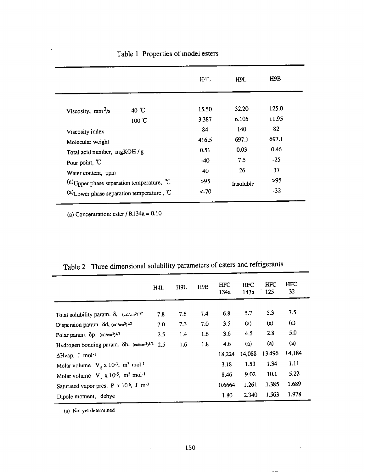|                                                       |                 | H4L    | H9L       | H9B   |
|-------------------------------------------------------|-----------------|--------|-----------|-------|
| Viscosity, $mm^2/s$                                   | 40 $^{\circ}$ C | 15.50  | 32.20     | 125.0 |
|                                                       | $100 \text{ C}$ | 3.387  | 6.105     | 11.95 |
| Viscosity index                                       |                 | 84     | 140       | 82    |
| Molecular weight                                      |                 | 416.5  | 697.1     | 697.1 |
| Total acid number, mgKOH / g                          |                 | 0.51   | 0.03      | 0.46  |
| Pour point, $\mathbb C$                               |                 | $-40$  | 7.5       | $-25$ |
| Water content, ppm                                    |                 | 40     | 26        | 37    |
| (a) Upper phase separation temperature, $^{\circ}C$   |                 | >95    | Insoluble | >95   |
| (a) Lower phase separation temperature, $\mathcal{C}$ |                 | $<-70$ |           | $-32$ |
|                                                       |                 |        |           |       |

# Table 1 Properties of model esters

(a) Concentration: ester  $/$  R134a = 0.10

 $\bar{z}$ 

 $\blacksquare$ 

|                                                                                | H4L | H9L | H9B | <b>HFC</b><br>134a | HFC<br>143a | HFC<br>125 | <b>HFC</b><br>32 |
|--------------------------------------------------------------------------------|-----|-----|-----|--------------------|-------------|------------|------------------|
| Total solubility param. $\delta$ , $(cal/cm^3)^{1/2}$                          | 7.8 | 7.6 | 7.4 | 6.8                | 5.7         | 5.3        | 7.5              |
| Dispersion param. od, (cal/cm <sup>3</sup> ) <sup>1/2</sup>                    | 7.0 | 7.3 | 7.0 | 3.5                | (a)         | (a)        | (a)              |
| Polar param. $\delta p$ , $\frac{(cal/cm^3)^{1/2}}{2}$                         | 2.5 | 1.4 | 1.6 | 3.6                | 4.5         | 2.8        | 5.0              |
| Hydrogen bonding param. $\delta h$ , (cal/cm <sup>3</sup> ) <sup>1/2</sup> 2.5 |     | 1.6 | 1.8 | 4.6                | (a)         | (a)        | (a)              |
| $\Delta$ Hvap, J mol <sup>-1</sup>                                             |     |     |     | 18,224             | 14,088      | 13,496     | 14,184           |
| Molar volume $V_g \times 10^{-3}$ , m <sup>3</sup> mol <sup>-1</sup> .         |     |     |     | 3.18               | 1.53        | 1.34       | 1.11             |
| Molar volume $V_1 \times 10^{-5}$ , m <sup>3</sup> mol <sup>-1</sup>           |     |     |     | 8.46               | 9.02        | 10.1       | 5.22             |
| Saturated vapor pres. P x 10 <sup>6</sup> , J m <sup>-3</sup>                  |     |     |     | 0.6664             | 1.261       | .1.385     | 1.689            |
| Dipole moment, debye                                                           |     |     |     | 1.80               | 2.340       | 1.563      | 1.978            |

Table 2 Three dimensional solubility parameters of esters and refrigerants

(a) Not yet determined

 $\epsilon$ 

 $\mathcal{L}^{\pm}$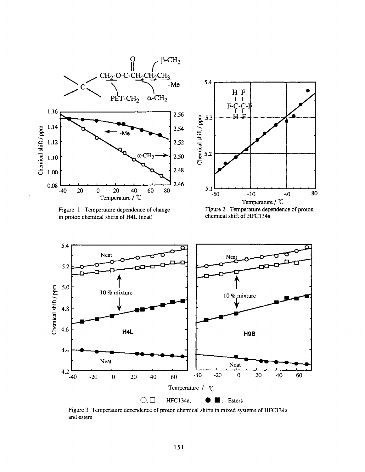

Figure 1 Temperature dependence of change in proton chemical shifts of H4L (neat)



Figure 2 Temperature dependence of proton chemical shift of HFC 134a



Figure 3 Temperature dependence of proton chemical shifts in mixed systems of HFC134a and esters